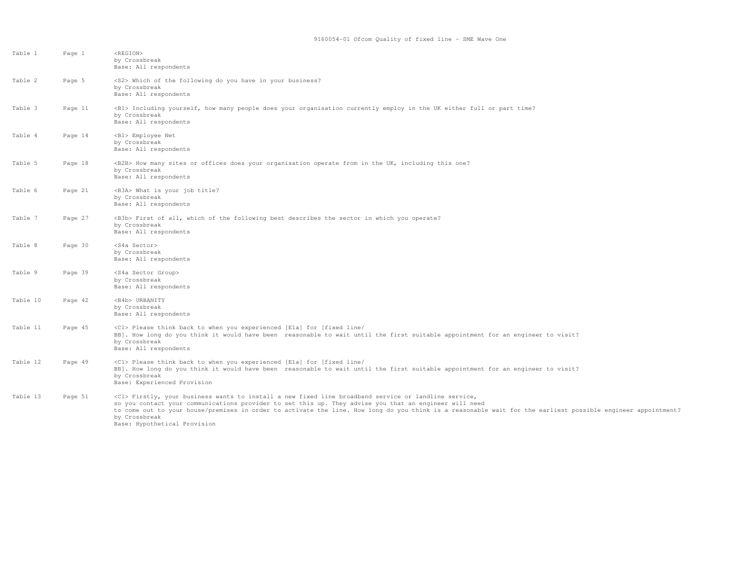| Table 1  | Page 1  | <region><br/>by Crossbreak<br/>Base: All respondents</region>                                                                                                                                                                                                                                                                                                                                                                            |
|----------|---------|------------------------------------------------------------------------------------------------------------------------------------------------------------------------------------------------------------------------------------------------------------------------------------------------------------------------------------------------------------------------------------------------------------------------------------------|
| Table 2  | Page 5  | <s2> Which of the following do you have in your business?<br/>by Crossbreak<br/>Base: All respondents</s2>                                                                                                                                                                                                                                                                                                                               |
| Table 3  | Page 11 | <b1> Including yourself, how many people does your organisation currently employ in the UK either full or part time?<br/>by Crossbreak<br/>Base: All respondents</b1>                                                                                                                                                                                                                                                                    |
| Table 4  | Page 14 | <b1> Employee Net<br/>by Crossbreak<br/>Base: All respondents</b1>                                                                                                                                                                                                                                                                                                                                                                       |
| Table 5  | Page 18 | <b2b> How many sites or offices does your organisation operate from in the UK, including this one?<br/>by Crossbreak<br/>Base: All respondents</b2b>                                                                                                                                                                                                                                                                                     |
| Table 6  | Page 21 | <b3a> What is your job title?<br/>by Crossbreak<br/>Base: All respondents</b3a>                                                                                                                                                                                                                                                                                                                                                          |
| Table 7  | Page 27 | <b3b> First of all, which of the following best describes the sector in which you operate?<br/>by Crossbreak<br/>Base: All respondents</b3b>                                                                                                                                                                                                                                                                                             |
| Table 8  | Page 30 | <s4a sector=""><br/>by Crossbreak<br/>Base: All respondents</s4a>                                                                                                                                                                                                                                                                                                                                                                        |
| Table 9  | Page 39 | <s4a group="" sector=""><br/>by Crossbreak<br/>Base: All respondents</s4a>                                                                                                                                                                                                                                                                                                                                                               |
| Table 10 | Page 42 | <b4b> URBANITY<br/>by Crossbreak<br/>Base: All respondents</b4b>                                                                                                                                                                                                                                                                                                                                                                         |
| Table 11 | Page 45 | <c1> Please think back to when you experienced [Ela] for [fixed line/<br/>BB]. How long do you think it would have been reasonable to wait until the first suitable appointment for an engineer to visit?<br/>by Crossbreak<br/>Base: All respondents</c1>                                                                                                                                                                               |
| Table 12 | Page 49 | <c1> Please think back to when you experienced [E1a] for [fixed line/<br/>BB]. How long do you think it would have been reasonable to wait until the first suitable appointment for an engineer to visit?<br/>by Crossbreak<br/>Base: Experienced Provision</c1>                                                                                                                                                                         |
| Table 13 | Page 51 | <c1> Firstly, your business wants to install a new fixed line broadband service or landline service,<br/>so you contact your communications provider to set this up. They advise you that an engineer will need<br/>to come out to your house/premises in order to activate the line. How long do you think is a reasonable wait for the earliest possible engineer appointment?<br/>by Crossbreak<br/>Base: Hypothetical Provision</c1> |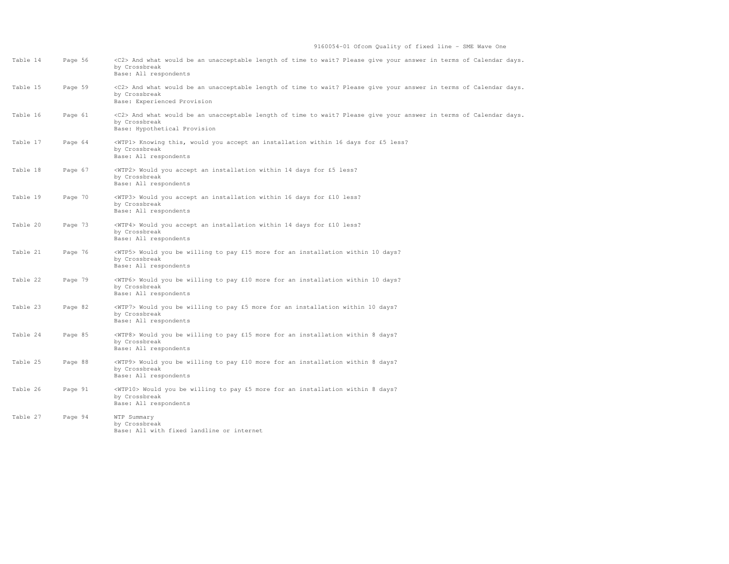| Table 14 | Page 56 | <c2> And what would be an unacceptable length of time to wait? Please give your answer in terms of Calendar days.<br/>by Crossbreak<br/>Base: All respondents</c2>        |
|----------|---------|---------------------------------------------------------------------------------------------------------------------------------------------------------------------------|
| Table 15 | Page 59 | <c2> And what would be an unacceptable length of time to wait? Please give your answer in terms of Calendar days.<br/>by Crossbreak<br/>Base: Experienced Provision</c2>  |
| Table 16 | Page 61 | <c2> And what would be an unacceptable length of time to wait? Please give your answer in terms of Calendar days.<br/>by Crossbreak<br/>Base: Hypothetical Provision</c2> |
| Table 17 | Page 64 | <wtp1> Knowing this, would you accept an installation within 16 days for £5 less?<br/>by Crossbreak<br/>Base: All respondents</wtp1>                                      |
| Table 18 | Page 67 | <wtp2> Would you accept an installation within 14 days for £5 less?<br/>by Crossbreak<br/>Base: All respondents</wtp2>                                                    |
| Table 19 | Page 70 | <wtp3> Would you accept an installation within 16 days for £10 less?<br/>by Crossbreak<br/>Base: All respondents</wtp3>                                                   |
| Table 20 | Page 73 | <wtp4> Would you accept an installation within 14 days for £10 less?<br/>by Crossbreak<br/>Base: All respondents</wtp4>                                                   |
| Table 21 | Page 76 | <wtp5> Would you be willing to pay £15 more for an installation within 10 days?<br/>by Crossbreak<br/>Base: All respondents</wtp5>                                        |
| Table 22 | Page 79 | <wtp6> Would you be willing to pay £10 more for an installation within 10 days?<br/>by Crossbreak<br/>Base: All respondents</wtp6>                                        |
| Table 23 | Page 82 | <wtp7> Would you be willing to pay £5 more for an installation within 10 days?<br/>by Crossbreak<br/>Base: All respondents</wtp7>                                         |
| Table 24 | Page 85 | <wtp8> Would you be willing to pay £15 more for an installation within 8 days?<br/>by Crossbreak<br/>Base: All respondents</wtp8>                                         |
| Table 25 | Page 88 | <wtp9> Would you be willing to pay £10 more for an installation within 8 days?<br/>by Crossbreak<br/>Base: All respondents</wtp9>                                         |
| Table 26 | Page 91 | <wtp10> Would you be willing to pay £5 more for an installation within 8 days?<br/>by Crossbreak<br/>Base: All respondents</wtp10>                                        |
| Table 27 | Page 94 | WTP Summary<br>by Crossbreak<br>Base: All with fixed landline or internet                                                                                                 |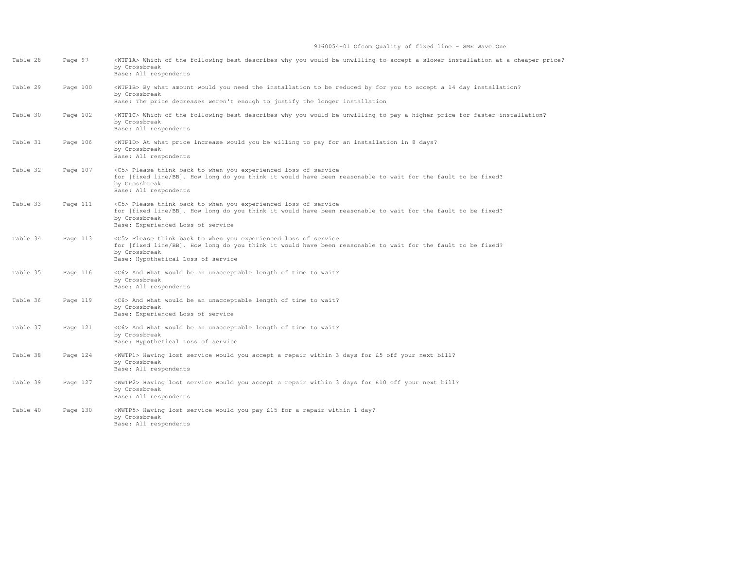## 9160054-01 Ofcom Quality of fixed line - SME Wave One

| Table 28 | Page 97  | <wtp1a> Which of the following best describes why you would be unwilling to accept a slower installation at a cheaper price?<br/>by Crossbreak<br/>Base: All respondents</wtp1a>                                                             |
|----------|----------|----------------------------------------------------------------------------------------------------------------------------------------------------------------------------------------------------------------------------------------------|
| Table 29 | Page 100 | <wtp1b> By what amount would you need the installation to be reduced by for you to accept a 14 day installation?<br/>by Crossbreak<br/>Base: The price decreases weren't enough to justify the longer installation</wtp1b>                   |
| Table 30 | Page 102 | <wipic> Which of the following best describes why you would be unwilling to pay a higher price for faster installation?<br/>by Crossbreak<br/>Base: All respondents</wipic>                                                                  |
| Table 31 | Page 106 | <wtp1d> At what price increase would you be willing to pay for an installation in 8 days?<br/>by Crossbreak<br/>Base: All respondents</wtp1d>                                                                                                |
| Table 32 | Page 107 | <c5> Please think back to when you experienced loss of service<br/>for [fixed line/BB]. How long do you think it would have been reasonable to wait for the fault to be fixed?<br/>by Crossbreak<br/>Base: All respondents</c5>              |
| Table 33 | Page 111 | <c5> Please think back to when you experienced loss of service<br/>for [fixed line/BB]. How long do you think it would have been reasonable to wait for the fault to be fixed?<br/>by Crossbreak<br/>Base: Experienced Loss of service</c5>  |
| Table 34 | Page 113 | <c5> Please think back to when you experienced loss of service<br/>for [fixed line/BB]. How long do you think it would have been reasonable to wait for the fault to be fixed?<br/>by Crossbreak<br/>Base: Hypothetical Loss of service</c5> |
| Table 35 | Page 116 | <c6> And what would be an unacceptable length of time to wait?<br/>by Crossbreak<br/>Base: All respondents</c6>                                                                                                                              |
| Table 36 | Page 119 | <c6> And what would be an unacceptable length of time to wait?<br/>by Crossbreak<br/>Base: Experienced Loss of service</c6>                                                                                                                  |
| Table 37 | Page 121 | <c6> And what would be an unacceptable length of time to wait?<br/>by Crossbreak<br/>Base: Hypothetical Loss of service</c6>                                                                                                                 |
| Table 38 | Page 124 | <wwtp1> Having lost service would you accept a repair within 3 days for £5 off your next bill?<br/>by Crossbreak<br/>Base: All respondents</wwtp1>                                                                                           |
| Table 39 | Page 127 | <wwtp2> Having lost service would you accept a repair within 3 days for £10 off your next bill?<br/>by Crossbreak<br/>Base: All respondents</wwtp2>                                                                                          |
| Table 40 | Page 130 | <wwtp5> Having lost service would you pay £15 for a repair within 1 day?<br/>by Crossbreak<br/>Base: All respondents</wwtp5>                                                                                                                 |